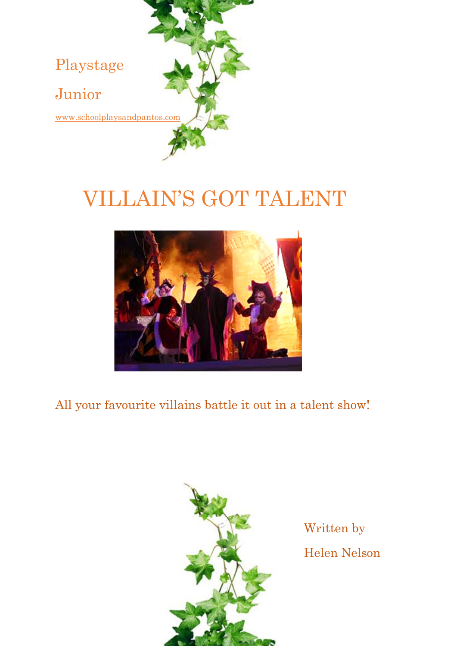

Playstage

## Junior

www.schoolplaysandpantos.com

# VILLAIN'S GOT TALENT



All your favourite villains battle it out in a talent show!



Written by Helen Nelson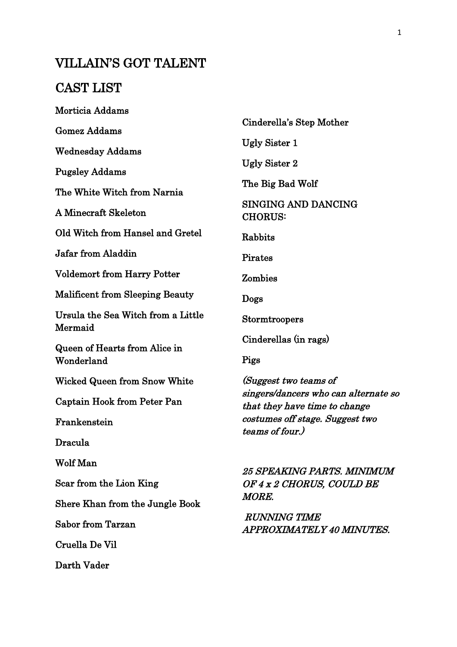## VILLAIN'S GOT TALENT

### CAST LIST

Darth Vader

| Morticia Addams                               |                                                                       |
|-----------------------------------------------|-----------------------------------------------------------------------|
| <b>Gomez Addams</b>                           | Cinderella's Step Mother                                              |
| <b>Wednesday Addams</b>                       | <b>Ugly Sister 1</b>                                                  |
| <b>Pugsley Addams</b>                         | Ugly Sister 2                                                         |
| The White Witch from Narnia                   | The Big Bad Wolf                                                      |
| <b>A Minecraft Skeleton</b>                   | SINGING AND DANCING<br><b>CHORUS:</b>                                 |
| Old Witch from Hansel and Gretel              | Rabbits                                                               |
| Jafar from Aladdin                            | Pirates                                                               |
| <b>Voldemort from Harry Potter</b>            | Zombies                                                               |
| <b>Malificent from Sleeping Beauty</b>        | Dogs                                                                  |
| Ursula the Sea Witch from a Little<br>Mermaid | Stormtroopers                                                         |
| Queen of Hearts from Alice in<br>Wonderland   | Cinderellas (in rags)<br>Pigs                                         |
| Wicked Queen from Snow White                  | (Suggest two teams of                                                 |
| Captain Hook from Peter Pan                   | singers/dancers who can alternate so<br>that they have time to change |
| Frankenstein                                  | costumes off stage. Suggest two<br>teams of four.)                    |
| Dracula                                       |                                                                       |
| Wolf Man                                      | <b>25 SPEAKING PARTS. MINIMUM</b>                                     |
| Scar from the Lion King                       | OF 4 x 2 CHORUS, COULD BE                                             |
| Shere Khan from the Jungle Book               | <i>MORE.</i>                                                          |
| <b>Sabor from Tarzan</b>                      | <b>RUNNING TIME</b><br>APPROXIMATELY 40 MINUTES.                      |
| Cruella De Vil                                |                                                                       |
|                                               |                                                                       |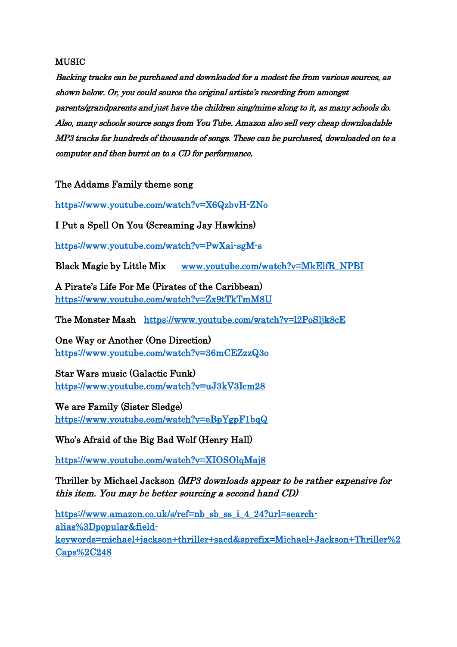#### MUSIC

Backing tracks can be purchased and downloaded for a modest fee from various sources, as shown below. Or, you could source the original artiste's recording from amongst parents/grandparents and just have the children sing/mime along to it, as many schools do. Also, many schools source songs from You Tube. Amazon also sell very cheap downloadable MP3 tracks for hundreds of thousands of songs. These can be purchased, downloaded on to a computer and then burnt on to a CD for performance.

The Addams Family theme song

https://www.youtube.com/watch?v=X6QzbvH-ZNo

I Put a Spell On You (Screaming Jay Hawkins)

https://www.youtube.com/watch?v=PwXai-sgM-s

Black Magic by Little Mix www.youtube.com/watch?v=MkElfR\_NPBI

A Pirate's Life For Me (Pirates of the Caribbean) https://www.youtube.com/watch?v=Zx9tTkTmM8U

The Monster Mash https://www.youtube.com/watch?v=l2PoSljk8cE

One Way or Another (One Direction) https://www.youtube.com/watch?v=36mCEZzzQ3o

Star Wars music (Galactic Funk) https://www.youtube.com/watch?v=uJ3kV3Icm28

We are Family (Sister Sledge) https://www.youtube.com/watch?v=eBpYgpF1bqQ

Who's Afraid of the Big Bad Wolf (Henry Hall)

https://www.youtube.com/watch?v=XIOSOlqMaj8

Thriller by Michael Jackson (MP3 downloads appear to be rather expensive for this item. You may be better sourcing a second hand CD)

https://www.amazon.co.uk/s/ref=nb\_sb\_ss\_i\_4\_24?url=searchalias%3Dpopular&fieldkeywords=michael+jackson+thriller+sacd&sprefix=Michael+Jackson+Thriller%2 Caps%2C248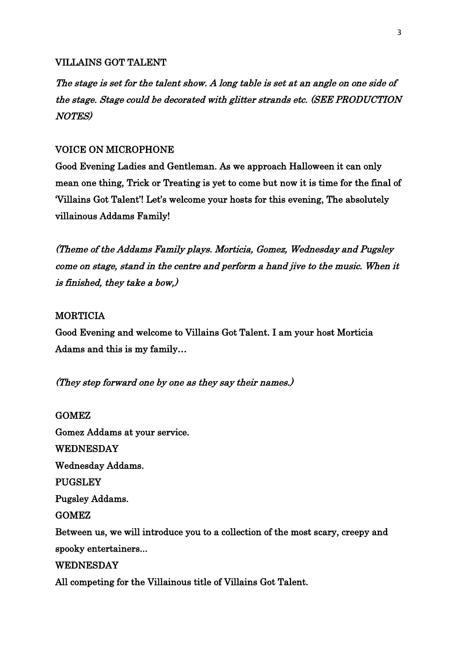#### VILLAINS GOT TALENT

The stage is set for the talent show. A long table is set at an angle on one side of the stage. Stage could be decorated with glitter strands etc. (SEE PRODUCTION NOTES)

#### VOICE ON MICROPHONE

Good Evening Ladies and Gentleman. As we approach Halloween it can only mean one thing, Trick or Treating is yet to come but now it is time for the final of 'Villains Got Talent'! Let's welcome your hosts for this evening, The absolutely villainous Addams Family!

(Theme of the Addams Family plays. Morticia, Gomez, Wednesday and Pugsley come on stage, stand in the centre and perform a hand jive to the music. When it is finished, they take a bow,)

#### MORTICIA

Good Evening and welcome to Villains Got Talent. I am your host Morticia Adams and this is my family…

(They step forward one by one as they say their names.)

GOMEZ Gomez Addams at your service. WEDNESDAY Wednesday Addams. PUGSLEY Pugsley Addams. GOMEZ Between us, we will introduce you to a collection of the most scary, creepy and spooky entertainers... WEDNESDAY All competing for the Villainous title of Villains Got Talent.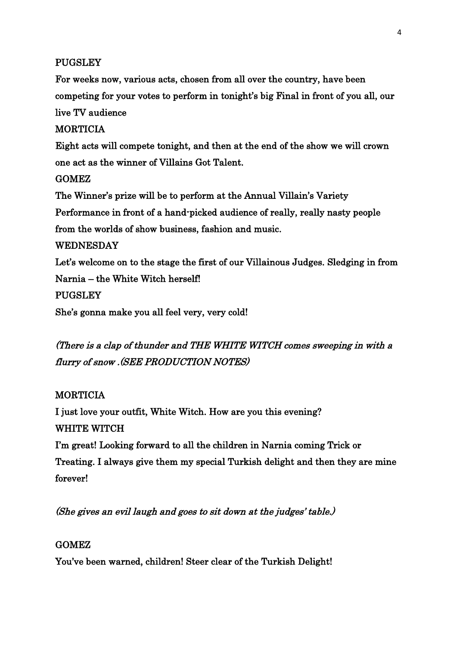#### PUGSLEY

For weeks now, various acts, chosen from all over the country, have been competing for your votes to perform in tonight's big Final in front of you all, our live TV audience

#### **MORTICIA**

Eight acts will compete tonight, and then at the end of the show we will crown one act as the winner of Villains Got Talent.

#### GOMEZ

The Winner's prize will be to perform at the Annual Villain's Variety Performance in front of a hand-picked audience of really, really nasty people from the worlds of show business, fashion and music. WEDNESDAY Let's welcome on to the stage the first of our Villainous Judges. Sledging in from Narnia – the White Witch herself! PUGSLEY She's gonna make you all feel very, very cold!

(There is a clap of thunder and THE WHITE WITCH comes sweeping in with a flurry of snow .(SEE PRODUCTION NOTES)

#### **MORTICIA**

I just love your outfit, White Witch. How are you this evening? WHITE WITCH I'm great! Looking forward to all the children in Narnia coming Trick or Treating. I always give them my special Turkish delight and then they are mine forever!

(She gives an evil laugh and goes to sit down at the judges' table.)

#### GOMEZ

You've been warned, children! Steer clear of the Turkish Delight!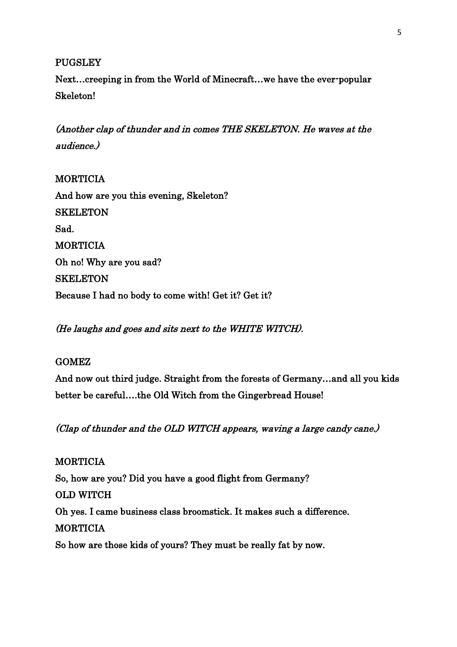#### PUGSLEY

Next…creeping in from the World of Minecraft…we have the ever-popular Skeleton!

(Another clap of thunder and in comes THE SKELETON. He waves at the audience.)

**MORTICIA** And how are you this evening, Skeleton? **SKELETON** Sad. **MORTICIA** Oh no! Why are you sad? **SKELETON** Because I had no body to come with! Get it? Get it?

(He laughs and goes and sits next to the WHITE WITCH).

#### **GOMEZ**

And now out third judge. Straight from the forests of Germany…and all you kids better be careful….the Old Witch from the Gingerbread House!

(Clap of thunder and the OLD WITCH appears, waving a large candy cane.)

#### **MORTICIA**

So, how are you? Did you have a good flight from Germany? OLD WITCH Oh yes. I came business class broomstick. It makes such a difference. **MORTICIA** 

So how are those kids of yours? They must be really fat by now.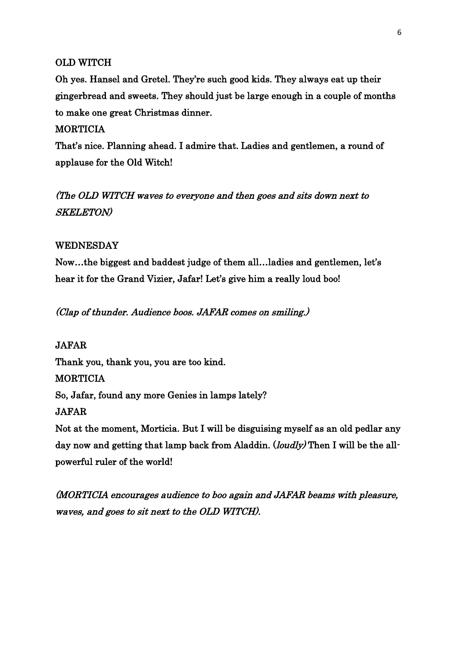#### OLD WITCH

Oh yes. Hansel and Gretel. They're such good kids. They always eat up their gingerbread and sweets. They should just be large enough in a couple of months to make one great Christmas dinner.

#### **MORTICIA**

That's nice. Planning ahead. I admire that. Ladies and gentlemen, a round of applause for the Old Witch!

(The OLD WITCH waves to everyone and then goes and sits down next to SKELETON)

#### WEDNESDAY

Now…the biggest and baddest judge of them all…ladies and gentlemen, let's hear it for the Grand Vizier, Jafar! Let's give him a really loud boo!

(Clap of thunder. Audience boos. JAFAR comes on smiling.)

#### JAFAR

Thank you, thank you, you are too kind.

#### **MORTICIA**

So, Jafar, found any more Genies in lamps lately?

#### JAFAR

Not at the moment, Morticia. But I will be disguising myself as an old pedlar any day now and getting that lamp back from Aladdin. (*loudly*) Then I will be the allpowerful ruler of the world!

(MORTICIA encourages audience to boo again and JAFAR beams with pleasure, waves, and goes to sit next to the OLD WITCH).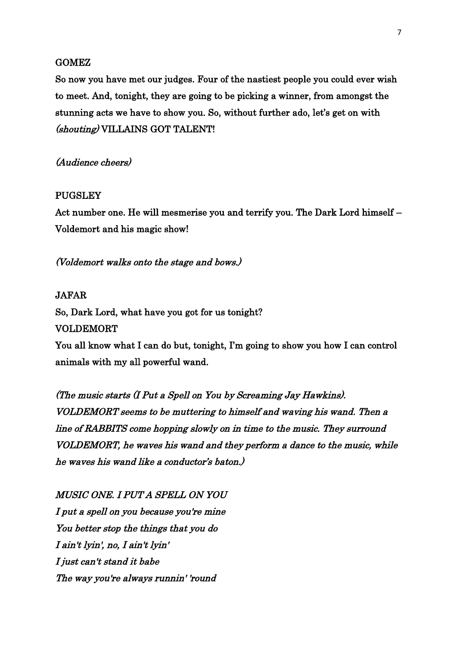#### GOMEZ

So now you have met our judges. Four of the nastiest people you could ever wish to meet. And, tonight, they are going to be picking a winner, from amongst the stunning acts we have to show you. So, without further ado, let's get on with (shouting) VILLAINS GOT TALENT!

#### (Audience cheers)

#### PUGSLEY

Act number one. He will mesmerise you and terrify you. The Dark Lord himself – Voldemort and his magic show!

(Voldemort walks onto the stage and bows.)

#### JAFAR

So, Dark Lord, what have you got for us tonight? VOLDEMORT

You all know what I can do but, tonight, I'm going to show you how I can control animals with my all powerful wand.

(The music starts (I Put a Spell on You by Screaming Jay Hawkins). VOLDEMORT seems to be muttering to himself and waving his wand. Then a line of RABBITS come hopping slowly on in time to the music. They surround VOLDEMORT, he waves his wand and they perform a dance to the music, while he waves his wand like a conductor's baton.)

#### MUSIC ONE. I PUT A SPELL ON YOU

I put a spell on you because you're mine You better stop the things that you do I ain't lyin', no, I ain't lyin' I just can't stand it babe The way you're always runnin' 'round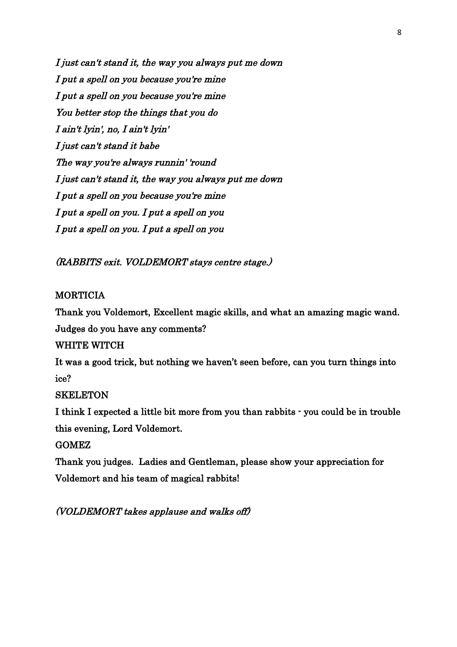I just can't stand it, the way you always put me down I put a spell on you because you're mine I put a spell on you because you're mine You better stop the things that you do I ain't lyin', no, I ain't lyin' I just can't stand it babe The way you're always runnin' 'round I just can't stand it, the way you always put me down I put a spell on you because you're mine I put a spell on you. I put a spell on you I put a spell on you. I put a spell on you

(RABBITS exit. VOLDEMORT stays centre stage.)

#### MORTICIA

Thank you Voldemort, Excellent magic skills, and what an amazing magic wand.

Judges do you have any comments?

#### WHITE WITCH

It was a good trick, but nothing we haven't seen before, can you turn things into ice?

#### **SKELETON**

I think I expected a little bit more from you than rabbits - you could be in trouble this evening, Lord Voldemort.

#### GOMEZ

Thank you judges. Ladies and Gentleman, please show your appreciation for Voldemort and his team of magical rabbits!

(VOLDEMORT takes applause and walks off)